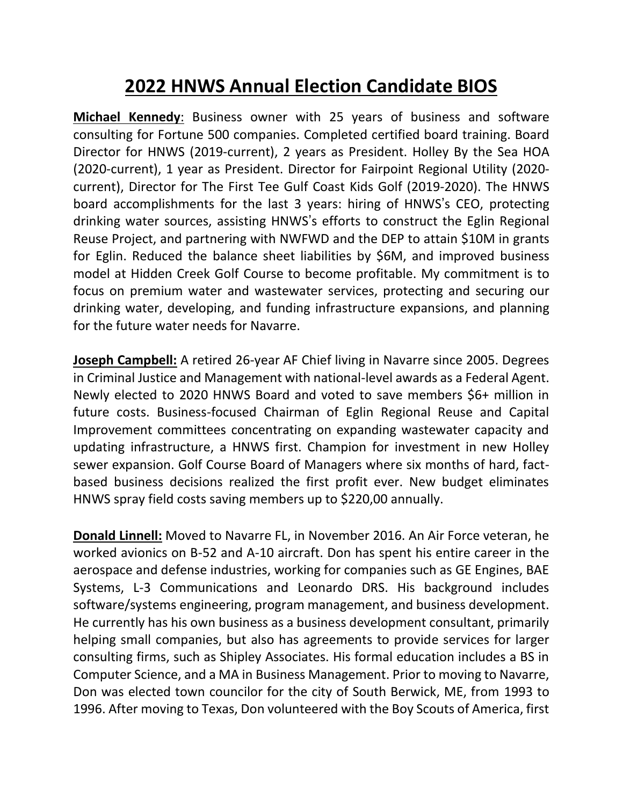## **2022 HNWS Annual Election Candidate BIOS**

**Michael Kennedy**: Business owner with 25 years of business and software consulting for Fortune 500 companies. Completed certified board training. Board Director for HNWS (2019-current), 2 years as President. Holley By the Sea HOA (2020-current), 1 year as President. Director for Fairpoint Regional Utility (2020 current), Director for The First Tee Gulf Coast Kids Golf (2019-2020). The HNWS board accomplishments for the last 3 years: hiring of HNWS's CEO, protecting drinking water sources, assisting HNWS's efforts to construct the Eglin Regional Reuse Project, and partnering with NWFWD and the DEP to attain \$10M in grants for Eglin. Reduced the balance sheet liabilities by \$6M, and improved business model at Hidden Creek Golf Course to become profitable. My commitment is to focus on premium water and wastewater services, protecting and securing our drinking water, developing, and funding infrastructure expansions, and planning for the future water needs for Navarre.

**Joseph Campbell:** A retired 26-year AF Chief living in Navarre since 2005. Degrees in Criminal Justice and Management with national-level awards as a Federal Agent. Newly elected to 2020 HNWS Board and voted to save members \$6+ million in future costs. Business-focused Chairman of Eglin Regional Reuse and Capital Improvement committees concentrating on expanding wastewater capacity and updating infrastructure, a HNWS first. Champion for investment in new Holley sewer expansion. Golf Course Board of Managers where six months of hard, factbased business decisions realized the first profit ever. New budget eliminates HNWS spray field costs saving members up to \$220,00 annually.

**Donald Linnell:** Moved to Navarre FL, in November 2016. An Air Force veteran, he worked avionics on B-52 and A-10 aircraft. Don has spent his entire career in the aerospace and defense industries, working for companies such as GE Engines, BAE Systems, L-3 Communications and Leonardo DRS. His background includes software/systems engineering, program management, and business development. He currently has his own business as a business development consultant, primarily helping small companies, but also has agreements to provide services for larger consulting firms, such as Shipley Associates. His formal education includes a BS in Computer Science, and a MA in Business Management. Prior to moving to Navarre, Don was elected town councilor for the city of South Berwick, ME, from 1993 to 1996. After moving to Texas, Don volunteered with the Boy Scouts of America, first